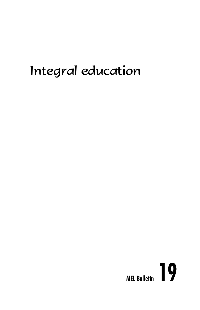# Integral education

# **MEL Bulletin 19**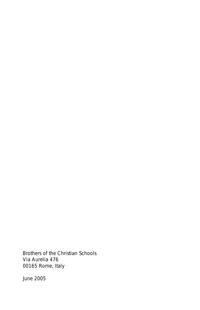Brothers of the Christian Schools Via Aurelia 476 00165 Rome, Italy

June 2005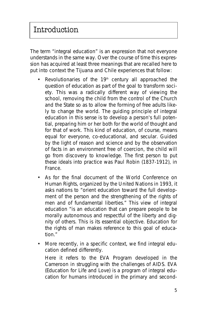The term "integral education" is an expression that not everyone understands in the same way. Over the course of time this expression has acquired at least three meanings that are recalled here to put into context the Tijuana and Chile experiences that follow:

- Revolutionaries of the  $19<sup>th</sup>$  century all approached the question of education as part of the goal to transform society. This was a radically different way of viewing the school, removing the child from the control of the Church and the State so as to allow the forming of free adults likely to change the world. The guiding principle of integral education in this sense is to develop a person's full potential, preparing him or her both for the world of thought and for that of work. This kind of education, of course, means equal for everyone, co-educational, and secular. Guided by the light of reason and science and by the observation of facts in an environment free of coercion, the child will go from discovery to knowledge. The first person to put these ideals into practice was Paul Robin (1837-1912), in France.
- As for the final document of the World Conference on Human Rights, organized by the United Nations in 1993, it asks nations to "orient education toward the full development of the person and the strengthening of the rights of men and of fundamental liberties." This view of integral education "is an education that can prepare people to be morally autonomous and respectful of the liberty and dignity of others. This is its essential objective. Education for the rights of man makes reference to this goal of education."
- More recently, in a specific context, we find integral education defined differently.

Here it refers to the **EVA** Program developed in the Cameroon in struggling with the challenges of AIDS. EVA (*Education for Life and Love*) is a program of integral education for humans introduced in the primary and second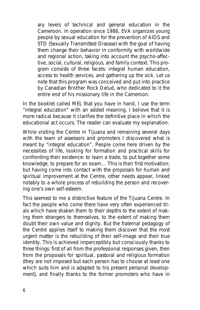ary levels of technical and general education in the Cameroon. In operation since 1986, **EVA** organizes young people by sexual education for the prevention of AIDS and STD (Sexually Transmitted Disease) with the goal of having them change their behavior in conformity with worldwide and regional action, taking into account the psycho-affective, social, cultural, religious, and family context. This program consists of three facets: integral human education, access to health services, and gathering up the sick. Let us note that this program was conceived and put into practice by Canadian **Brother Rock Delud**, who dedicated to it the entire end of his missionary life in the Cameroon.

In the booklet called **MEL** that you have in hand, I use the term "integral education" with an added meaning. I believe that it is more radical because it clarifies the definitive place in which the educational act occurs. The reader can evaluate my explanation.

While visiting the Centre in Tijuana and remaining several days with the team of assessors and promoters I discovered what is meant by "integral education". People come here driven by the necessities of life, looking for formation and practical skills for confronting their existence: to learn a trade, to put together some knowledge, to prepare for an exam… This is their first motivation; but having come into contact with the proposals for human and spiritual improvement at the Centre, other needs appear, linked notably to a whole process of rebuilding the person and recovering one's own self-esteem.

This seemed to me a distinctive feature of the Tijuana Centre. In fact the people who come there have very often experienced trials which have shaken them to their depths to the extent of making them strangers to themselves, to the extent of making them doubt their own value and dignity. But the fraternal pedagogy of the Centre applies itself to making them discover that the most urgent matter is the rebuilding of their self-image and their true identity. This is achieved imperceptibly but consciously thanks to three things: first of all from the professional responses given, then from the proposals for spiritual, pastoral and religious formation (they are not imposed but each person has to choose at least one which suits him and is adapted to his present personal development), and finally thanks to the former promoters who have in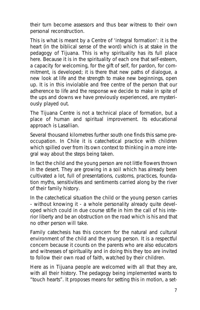their turn become assessors and thus bear witness to their own personal reconstruction.

This is what is meant by a Centre of 'integral formation': it is the heart (in the biblical sense of the word) which is at stake in the pedagogy of Tijuana. This is why spirituality has its full place here. Because it is in the spirituality of each one that self-esteem, a capacity for welcoming, for the gift of self, for pardon, for commitment, is developed; it is there that new paths of dialogue, a new look at life and the strength to make new beginnings, open up. It is in this inviolable and free centre of the person that our adherence to life and the response we decide to make in spite of the ups and downs we have previously experienced, are mysteriously played out.

The Tijuana Centre is not a technical place of formation, but a place of human and spiritual improvement. Its educational approach is Lasallian.

Several thousand kilometres further south one finds this same preoccupation. In Chile it is catechetical practice with children which spilled over from its own context to thinking in a more integral way about the steps being taken.

In fact the child and the young person are not little flowers thrown in the desert. They are growing in a soil which has already been cultivated a lot, full of presentations, customs, practices, foundation myths, sensitivities and sentiments carried along by the river of their family history.

In the catechetical situation the child or the young person carries - without knowing it - a whole personality already quite developed which could in due course stifle in him the call of his interior liberty and be an obstruction on the road which is his and that no other person will take.

Family catechesis has this concern for the natural and cultural environment of the child and the young person. It is a respectful concern because it counts on the parents who are also educators and witnesses of spirituality and in doing this they too are invited to follow their own road of faith, watched by their children.

Here as in Tijuana people are welcomed with all that they are, with all their history. The pedagogy being implemented wants to "touch hearts". It proposes means for setting this in motion, a set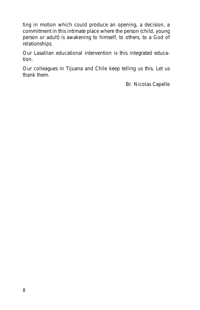ting in motion which could produce an opening, a decision, a commitment in this intimate place where the person (child, young person or adult) is awakening to himself, to others, to a God of relationships.

Our Lasallian educational intervention is this integrated education.

Our colleagues in Tijuana and Chile keep telling us this. Let us thank them.

Br. Nicolas Capelle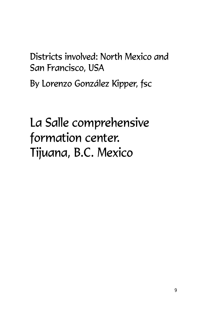# Districts involved: North Mexico and San Francisco, USA

By Lorenzo González Kipper, fsc

# La Salle comprehensive formation center. Tijuana, B.C. Mexico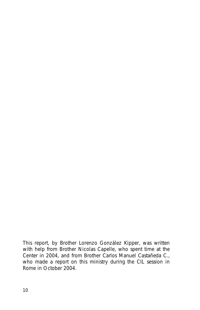*This report, by Brother Lorenzo González Kipper, was written with help from Brother Nicolas Capelle, who spent time at the Center in 2004, and from Brother Carlos Manuel Castañeda C., who made a report on this ministry during the CIL session in Rome in October 2004.*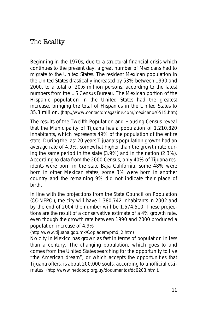## The Reality

Beginning in the 1970s, due to a structural financial crisis which continues to the present day, a great number of Mexicans had to migrate to the United States. The resident Mexican population in the United States drastically increased by 53% between 1990 and 2000, to a total of 20.6 million persons, according to the latest numbers from the US Census Bureau. The Mexican portion of the Hispanic population in the United States had the greatest increase, bringing the total of Hispanics in the United States to 35.3 million. (http://www.contactomagazine.com/mexicanos0515.htm)

The results of the Twelfth Population and Housing Census reveal that the Municipality of Tijuana has a population of 1,210,820 inhabitants, which represents 49% of the population of the entire state. During the last 20 years Tijuana's population growth had an average rate of 4.9%, somewhat higher than the growth rate during the same period in the state (3.9%) and in the nation (2.3%). According to data from the 2000 Census, only 40% of Tijuana residents were born in the state Baja California, some 48% were born in other Mexican states, some 3% were born in another country and the remaining 9% did not indicate their place of birth.

In line with the projections from the State Council on Population (CONEPO), the city will have 1,380,742 inhabitants in 2002 and by the end of 2004 the number will be 1,574,510. These projections are the result of a conservative estimate of a 4% growth rate, even though the growth rate between 1990 and 2000 produced a population increase of 4.9%.

(http://www.tijuana.gob.mx/Copladem/pmd\_2.htm)

No city in Mexico has grown as fast in terms of population in less than a century. The changing population, which goes to and comes from the United States searching for the opportunity to live "the American dream", or which accepts the opportunities that Tijuana offers, is about 200,000 souls, according to unofficial estimates. (http://www.neticoop.org.uy/documentos/dc0203.html).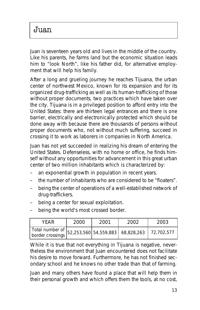Juan

Juan is seventeen years old and lives in the middle of the country. Like his parents, he farms land but the economic situation leads him to "look North", like his father did, for alternative employment that will help his family.

After a long and grueling journey he reaches Tijuana, the urban center of northwest Mexico, known for its expansion and for its organized drug-trafficking as well as its human-trafficking of those without proper documents, two practices which have taken over the city. Tijuana is in a privileged position to afford entry into the United States: there are thirteen legal entrances and there is one barrier, electrically and electronically protected which should be done away with because there are thousands of persons without proper documents who, not without much suffering, succeed in crossing it to work as laborers in companies in North America.

Juan has not yet succeeded in realizing his dream of entering the United States. Defenseless, with no home or office, he finds himself without any opportunities for advancement in this great urban center of two million inhabitants which is characterized by:

- an exponential growth in population in recent years.
- the number of inhabitants who are considered to be "floaters".
- being the center of operations of a well-established network of drug-traffickers.
- being a center for sexual exploitation.
- being the world's most crossed border.

| YEAR                                                           | 2000 | 2001 | 2002 | 2003 |
|----------------------------------------------------------------|------|------|------|------|
| Total number of $ 52,253,560 54,559,883 68,828,263 72,702,577$ |      |      |      |      |

While it is true that not everything in Tijuana is negative, nevertheless the environment that Juan encountered does not facilitate his desire to move forward. Furthermore, he has not finished secondary school and he knows no other trade than that of farming.

Juan and many others have found a place that will help them in their personal growth and which offers them the tools, at no cost,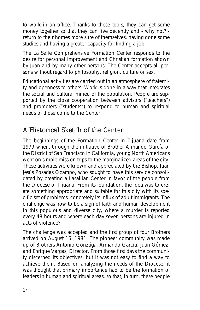to work in an office. Thanks to these tools, they can get some money together so that they can live decently and - why not? return to their homes more sure of themselves, having done some studies and having a greater capacity for finding a job.

The La Salle Comprehensive Formation Center responds to the desire for personal improvement and Christian formation shown by Juan and by many other persons. The Center accepts all persons without regard to philosophy, religion, culture or sex.

Educational activities are carried out in an atmosphere of fraternity and openness to others. Work is done in a way that integrates the social and cultural milieu of the population. People are supported by the close cooperation between advisors ("teachers") and promoters ("students") to respond to human and spiritual needs of those come to the Center.

# A Historical Sketch of the Center

The beginnings of the Formation Center in Tijuana date from 1979 when, through the initiative of Brother Armando García of the District of San Francisco in California, young North Americans went on simple mission trips to the marginalized areas of the city. These activities were known and appreciated by the Bishop, Juan Jesús Posadas Ocampo, who sought to have this service consolidated by creating a Lasallian Center in favor of the people from the Diocese of Tijuana. From its foundation, the idea was to create something appropriate and suitable for this city with its specific set of problems, concretely its influx of adult immigrants. The challenge was how to be a sign of faith and human development in this populous and diverse city, where a murder is reported every 48 hours and where each day seven persons are injured in acts of violence?

The challenge was accepted and the first group of four Brothers arrived on August 16, 1981. The pioneer community was made up of Brothers Antonio Gonzága, Armando García, Juan Gómez, and Enrique Vargas, Director. From those first days the community discerned its objectives, but it was not easy to find a way to achieve them. Based on analyzing the needs of the Diocese, it was thought that primary importance had to be the formation of leaders in human and spiritual areas, so that, in turn, these people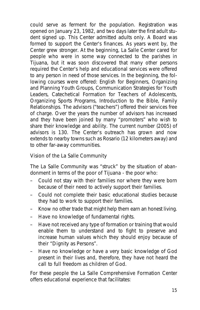could serve as ferment for the population. Registration was opened on January 23, 1982, and two days later the first adult student signed up. This Center admitted adults only. A Board was formed to support the Center's finances. As years went by, the Center grew stronger. At the beginning, La Salle Center cared for people who were in some way connected to the parishes in Tijuana, but it was soon discovered that many other persons required the Center's help and educational services were offered to any person in need of those services. In the beginning, the following courses were offered: English for Beginners, Organizing and Planning Youth Groups, Communication Strategies for Youth Leaders, Catechetical Formation for Teachers of Adolescents, Organizing Sports Programs, Introduction to the Bible, Family Relationships. The advisors ("teachers") offered their services free of charge. Over the years the number of advisors has increased and they have been joined by many "promoters" who wish to share their knowledge and ability. The current number (2005) of advisors is 130. The Center's outreach has grown and now extends to nearby towns such as Rosario (12 kilometers away) and to other far-away communities.

#### **Vision of the La Salle Community**

The La Salle Community was "struck" by the situation of abandonment in terms of the poor of Tijuana - the poor who:

- Could not stay with their families nor where they were born because of their need to actively support their families.
- Could not complete their basic educational studies because they had to work to support their families.
- Know no other trade that might help them earn an honest living.
- Have no knowledge of fundamental rights.
- Have not received any type of formation or training that would enable them to understand and to fight to preserve and increase human values which they should enjoy because of their "Dignity as Persons".
- Have no knowledge or have a very basic knowledge of God present in their lives and, therefore, they have not heard the call to full freedom as children of God.

For these people the La Salle Comprehensive Formation Center offers educational experience that facilitates: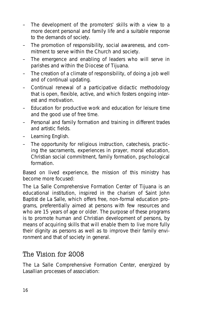- The development of the promoters' skills with a view to a more decent personal and family life and a suitable response to the demands of society.
- The promotion of responsibility, social awareness, and commitment to serve within the Church and society.
- The emergence and enabling of leaders who will serve in parishes and within the Diocese of Tijuana.
- The creation of a climate of responsibility, of doing a job well and of continual updating.
- Continual renewal of a participative didactic methodology that is open, flexible, active, and which fosters ongoing interest and motivation.
- Education for productive work and education for leisure time and the good use of free time.
- Personal and family formation and training in different trades and artistic fields.
- Learning English.
- The opportunity for religious instruction, catechesis, practicing the sacraments, experiences in prayer, moral education, Christian social commitment, family formation, psychological formation.

Based on lived experience, the mission of this ministry has become more focused:

The La Salle Comprehensive Formation Center of Tijuana is an educational institution, inspired in the charism of Saint John Baptist de La Salle, which offers free, non-formal education programs, preferentially aimed at persons with few resources and who are 15 years of age or older. The purpose of these programs is to promote human and Christian development of persons, by means of acquiring skills that will enable them to live more fully their dignity as persons as well as to improve their family environment and that of society in general.

# The Vision for 2008

The La Salle Comprehensive Formation Center, energized by Lasallian processes of association: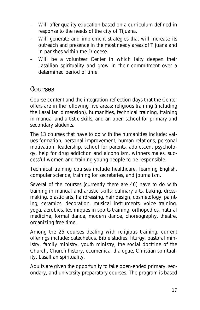- Will offer quality education based on a curriculum defined in response to the needs of the city of Tijuana.
- Will generate and implement strategies that will increase its outreach and presence in the most needy areas of Tijuana and in parishes within the Diocese.
- Will be a volunteer Center in which laity deepen their Lasallian spirituality and grow in their commitment over a determined period of time.

# Courses

Course content and the integration-reflection days that the Center offers are in the following five areas: religious training (including the Lasallian dimension), humanities, technical training, training in manual and artistic skills, and an open school for primary and secondary students.

The 13 courses that have to do with the humanities include: values formation, personal improvement, human relations, personal motivation, leadership, school for parents, adolescent psychology, help for drug addiction and alcoholism, winners males, successful women and training young people to be responsible.

Technical training courses include healthcare, learning English, computer science, training for secretaries, and journalism.

Several of the courses (currently there are 46) have to do with training in manual and artistic skills: culinary arts, baking, dressmaking, plastic arts, hairdressing, hair design, cosmetology, painting, ceramics, decoration, musical instruments, voice training, yoga, aerobics, techniques in sports training, orthopedics, natural medicine, formal dance, modern dance, choreography, theatre, organizing free time.

Among the 25 courses dealing with religious training, current offerings include: catechetics, Bible studies, liturgy, pastoral ministry, family ministry, youth ministry, the social doctrine of the Church, Church history, ecumenical dialogue, Christian spirituality, Lasallian spirituality.

Adults are given the opportunity to take open-ended primary, secondary, and university preparatory courses. The program is based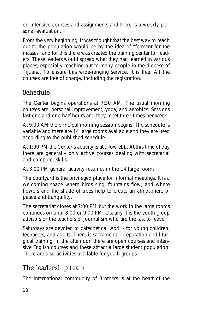on intensive courses and assignments and there is a weekly personal evaluation.

From the very beginning, it was thought that the best way to reach out to the population would be by the idea of "ferment for the masses" and for this there was created the training center for leaders. These leaders would spread what they had learned in various places, especially reaching out to many people in the diocese of Tijuana. To ensure this wide-ranging service, it is free. All the courses are free of charge, including the registration.

# Schedule

The Center begins operations at 7:30 AM. The usual morning courses are: personal improvement, yoga, and aerobics. Sessions last one and one-half hours and they meet three times per week.

At 9:00 AM the principal morning session begins. The schedule is variable and there are 14 large rooms available and they are used according to the published schedule.

At 1:00 PM the Center's activity is at a low ebb. At this time of day there are generally only active courses dealing with secretarial and computer skills.

At 3:00 PM general activity resumes in the 14 large rooms.

The courtyard is the privileged place for informal meetings. It is a welcoming space where birds sing, fountains flow, and where flowers and the shade of trees help to create an atmosphere of peace and tranquility.

The secretariat closes at 7:00 PM but the work in the large rooms continues on until 8:00 or 9:00 PM. Usually it is the youth group advisors or the teachers of journalism who are the last to leave.

Saturdays are devoted to catechetical work - for young children, teenagers, and adults. There is sacramental preparation and liturgical training. In the afternoon there are open courses and intensive English courses and these attract a large student population. There are also activities available for youth groups.

# The leadership team

The international community of Brothers is at the heart of the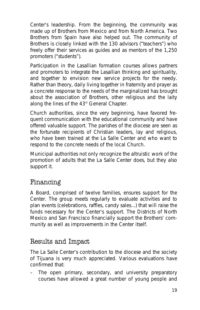Center's leadership. From the beginning, the community was made up of Brothers from Mexico and from North America. Two Brothers from Spain have also helped out. The community of Brothers is closely linked with the 130 advisors ("teachers") who freely offer their services as guides and as mentors of the 1,250 promoters ("students").

Participation in the Lasallian formation courses allows partners and promoters to integrate the Lasallian thinking and spirituality, and together to envision new service projects for the needy. Rather than theory, daily living together in fraternity and prayer as a concrete response to the needs of the marginalized has brought about the association of Brothers, other religious and the laity along the lines of the 43<sup>rd</sup> General Chapter.

Church authorities, since the very beginning, have favored frequent communication with the educational community and have offered valuable support. The parishes of the diocese are seen as the fortunate recipients of Christian leaders, lay and religious, who have been trained at the La Salle Center and who want to respond to the concrete needs of the local Church.

Municipal authorities not only recognize the altruistic work of the promotion of adults that the La Salle Center does, but they also support it.

# Financing

A Board, comprised of twelve families, ensures support for the Center. The group meets regularly to evaluate activities and to plan events (celebrations, raffles, candy sales...) that will raise the funds necessary for the Center's support. The Districts of North Mexico and San Francisco financially support the Brothers' community as well as improvements in the Center itself.

# Results and Impact

The La Salle Center's contribution to the diocese and the society of Tijuana is very much appreciated. Various evaluations have confirmed that:

– The open primary, secondary, and university preparatory courses have allowed a great number of young people and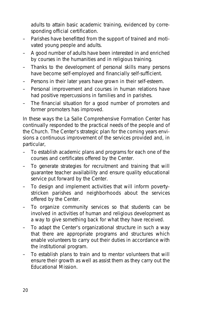adults to attain basic academic training, evidenced by corresponding official certification.

- Parishes have benefitted from the support of trained and motivated young people and adults.
- A good number of adults have been interested in and enriched by courses in the humanities and in religious training.
- Thanks to the development of personal skills many persons have become self-employed and financially self-sufficient.
- Persons in their later years have grown in their self-esteem.
- Personal improvement and courses in human relations have had positive repercussions in families and in parishes.
- The financial situation for a good number of promoters and former promoters has improved.

In these ways the La Salle Comprehensive Formation Center has continually responded to the practical needs of the people and of the Church. The Center's strategic plan for the coming years envisions a continuous improvement of the services provided and, in particular,

- To establish academic plans and programs for each one of the courses and certificates offered by the Center.
- To generate strategies for recruitment and training that will guarantee teacher availability and ensure quality educational service put forward by the Center.
- To design and implement activities that will inform povertystricken parishes and neighborhoods about the services offered by the Center.
- To organize community services so that students can be involved in activities of human and religious development as a way to give something back for what they have received.
- To adapt the Center's organizational structure in such a way that there are appropriate programs and structures which enable volunteers to carry out their duties in accordance with the institutional program.
- To establish plans to train and to mentor volunteers that will ensure their growth as well as assist them as they carry out the Educational Mission.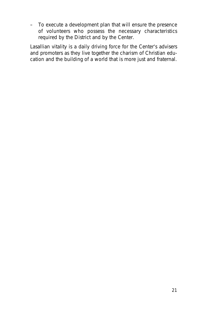– To execute a development plan that will ensure the presence of volunteers who possess the necessary characteristics required by the District and by the Center.

Lasallian vitality is a daily driving force for the Center's advisers and promoters as they live together the charism of Christian education and the building of a world that is more just and fraternal.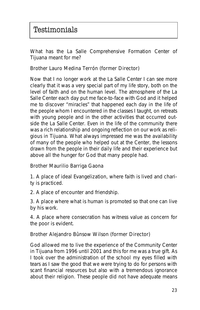What has the La Salle Comprehensive Formation Center of Tijuana meant for me?

#### **Brother Lauro Medina Terrón (former Director)**

Now that I no longer work at the La Salle Center I can see more clearly that it was a very special part of my life story, both on the level of faith and on the human level. The atmosphere of the La Salle Center each day put me face-to-face with God and it helped me to discover "miracles" that happened each day in the life of the people whom I encountered in the classes I taught, on retreats with young people and in the other activities that occurred outside the La Salle Center. Even in the life of the community there was a rich relationship and ongoing reflection on our work as religious in Tijuana. What always impressed me *was the availability of many of the people who helped out at the Center, the lessons drawn from the people in their daily life and their experience but above all the hunger for God that many people had*.

#### **Brother Maurilio Barriga Gaona**

1. A place of ideal Evangelization, where faith is lived and charity is practiced.

2. A place of encounter and friendship.

3. A place where what is human is promoted so that one can live by his work.

4. A place where consecration has witness value as concern for the poor is evident.

#### **Brother Alejandro Bûnsow Wilson (former Director)**

God allowed me to live the experience of the Community Center in Tijuana from 1996 until 2001 and this for me was a true gift. As I took over the administration of the school my eyes filled with tears as I saw the good that we were trying to do for persons with scant financial resources but also with a tremendous ignorance about their religion. These people did not have adequate means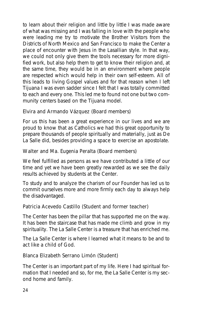to learn about their religion and little by little I was made aware of what was missing and I was falling in love with the people who were leading me try to motivate the Brother Visitors from the Districts of North Mexico and San Francisco to make the Center a place of encounter with Jesus in the Lasallian style. In that way, we could not only give them the tools necessary for more dignified work, but also help them to get to know their religion and, at the same time, they would be in an environment where people are respected which would help in their own self-esteem. All of this leads to living Gospel values and for that reason when I left Tijuana I was even sadder since I felt that I was totally committed to each and every one. This led me to found not one but two community centers based on the Tijuana model.

#### **Elvira and Armando Vázquez (Board members)**

For us this has been a great experience in our lives and we are proud to know that as Catholics we had this great opportunity to prepare thousands of people spiritually and materially, just as De La Salle did, besides providing a space to exercise an apostolate.

#### **Walter and Ma. Eugenia Peralta (Board members)**

We feel fulfilled as persons as we have contributed a little of our time and yet we have been greatly rewarded as we see the daily results achieved by students at the Center.

To study and to analyze the charism of our Founder has led us to commit ourselves more and more firmly each day to always help the disadvantaged.

#### **Patricia Acevedo Castillo (Student and former teacher)**

The Center has been the pillar that has supported me on the way. It has been the staircase that has made me climb and grow in my spirituality. The La Salle Center is a treasure that has enriched me.

The La Salle Center is where I learned what it means to be and to act like a child of God.

#### **Blanca Elizabeth Serrano Limón (Student)**

The Center is an important part of my life. Here I had spiritual formation that I needed and so, for me, the La Salle Center is my second home and family.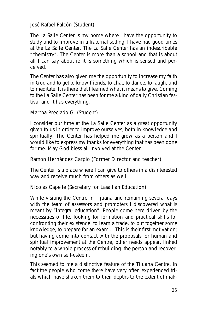#### **José Rafael Falcón (Student)**

The La Salle Center is my home where I have the opportunity to study and to improve in a fraternal setting. I have had good times at the La Salle Center. The La Salle Center has an indescribable "chemistry". The Center is more than a school and that is about all I can say about it; it is something which is sensed and perceived.

The Center has also given me the opportunity to increase my faith in God and to get to know friends, to chat, to dance, to laugh, and to meditate. It is there that I learned what it means to give. Coming to the La Salle Center has been for me a kind of daily Christian festival and it has everything.

#### **Martha Preciado G. (Student)**

I consider our time at the La Salle Center as a great opportunity given to us in order to improve ourselves, both in knowledge and spiritually. The Center has helped me grow as a person and I would like to express my thanks for everything that has been done for me. May God bless all involved at the Center.

#### **Ramon Hernández Carpio (Former Director and teacher)**

The Center is a place where I can give to others in a disinterested way and receive much from others as well.

#### **Nicolas Capelle (Secretary for Lasallian Education)**

While visiting the Centre in Tijuana and remaining several days with the team of assessors and promoters I discovered what is meant by "integral education". People come here driven by the necessities of life, looking for formation and practical skills for confronting their existence: to learn a trade, to put together some knowledge, to prepare for an exam… This is their first motivation; but having come into contact with the proposals for human and spiritual improvement at the Centre, other needs appear, linked notably to a whole process of rebuilding the person and recovering one's own self-esteem.

This seemed to me a distinctive feature of the Tijuana Centre. In fact the people who come there have very often experienced trials which have shaken them to their depths to the extent of mak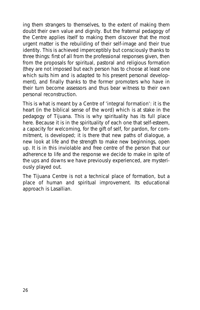ing them strangers to themselves, to the extent of making them doubt their own value and dignity. But the fraternal pedagogy of the Centre applies itself to making them discover that the most urgent matter is the rebuilding of their self-image and their true identity. This is achieved imperceptibly but consciously thanks to three things: first of all from the professional responses given, then from the proposals for spiritual, pastoral and religious formation (they are not imposed but each person has to choose at least one which suits him and is adapted to his present personal development), and finally thanks to the former promoters who have in their turn become assessors and thus bear witness to their own personal reconstruction.

This is what is meant by a Centre of **'integral formation'**: it is the heart (in the biblical sense of the word) which is at stake in the pedagogy of Tijuana. This is why spirituality has its full place here. Because it is in the spirituality of each one that self-esteem, a capacity for welcoming, for the gift of self, for pardon, for commitment, is developed; it is there that new paths of dialogue, a new look at life and the strength to make new beginnings, open up. It is in this inviolable and free centre of the person that our adherence to life and the response we decide to make in spite of the ups and downs we have previously experienced, are mysteriously played out.

The Tijuana Centre is not a technical place of formation, but a place of human and spiritual improvement. Its educational approach is Lasallian.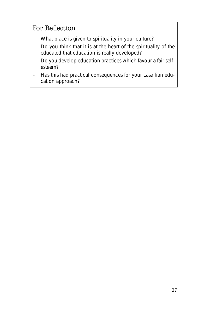# For Reflection

- What place is given to spirituality in your culture?
- Do you think that it is at the heart of the spirituality of the educated that education is really developed?
- Do you develop education practices which favour a fair selfesteem?
- Has this had practical consequences for your Lasallian education approach?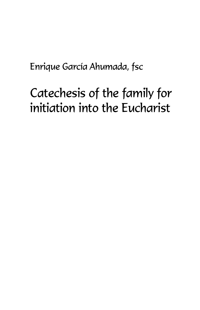Enrique García Ahumada, fsc

# Catechesis of the family for initiation into the Eucharist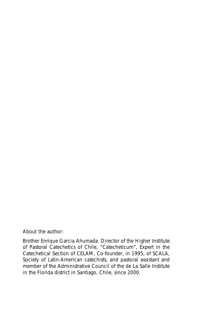#### **About the author:**

Brother Enrique Garcia Ahumada. Director of the Higher Institute of Pastoral Catechetics of Chile, "Catecheticum", Expert in the Catechetical Section of CELAM, Co-founder, in 1995, of SCALA, Society of Latin-American catechists, and pastoral assistant and member of the Administrative Council of the de La Salle Institute in the Florida district in Santiago, Chile, since 2000.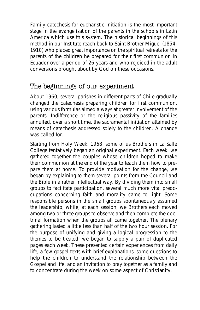Family catechesis for eucharistic initiation is the most important stage in the evangelisation of the parents in the schools in Latin America which use this system. The historical beginnings of this method in our Institute reach back to Saint Brother Miguel (1854- 1910) who placed great importance on the spiritual retreats for the parents of the children he prepared for their first communion in Ecuador over a period of 26 years and who rejoiced in the adult conversions brought about by God on these occasions.

## The beginnings of our experiment

About 1960, several parishes in different parts of Chile gradually changed the catechesis preparing children for first communion, using various formulas aimed always at greater involvement of the parents. Indifference or the religious passivity of the families annulled, over a short time, the sacramental initiation attained by means of catechesis addressed solely to the children. A change was called for.

Starting from Holy Week, 1968, some of us Brothers in La Salle College tentatively began an original experiment. Each week, we gathered together the couples whose children hoped to make their communion at the end of the year to teach them how to prepare them at home. To provide motivation for the change, we began by explaining to them several points from the Council and the Bible in a rather intellectual way. By dividing them into small groups to facilitate participation, several much more vital preoccupations concerning faith and morality came to light. Some responsible persons in the small groups spontaneously assumed the leadership, while, at each session, we Brothers each moved among two or three groups to observe and then complete the doctrinal formation when the groups all came together. The plenary gathering lasted a little less than half of the two hour session. For the purpose of unifying and giving a logical progression to the themes to be treated, we began to supply a pair of duplicated pages each week. These presented certain experiences from daily life, a few gospel texts with brief explanations, some questions to help the children to understand the relationship between the Gospel and life, and an invitation to pray together as a family and to concentrate during the week on some aspect of Christianity.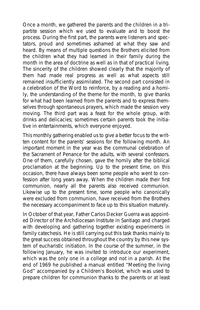Once a month, we gathered the parents and the children in a tripartite session which we used to evaluate and to boost the process. During the first part, the parents were listeners and spectators, proud and sometimes ashamed at what they saw and heard. By means of multiple questions the Brothers elicited from the children what they had learned in their family during the month in the area of doctrine as well as in that of practical living. The sincerity of the children showed clearly that the majority of them had made real progress as well as what aspects still remained insufficiently assimilated. The second part consisted in a celebration of the Word to reinforce, by a reading and a homily, the understanding of the theme for the month, to give thanks for what had been learned from the parents and to express themselves through spontaneous prayers, which made the session very moving. The third part was a feast for the whole group, with drinks and delicacies; sometimes certain parents took the initiative in entertainments, which everyone enjoyed.

This monthly gathering enabled us to give a better focus to the written content for the parents' sessions for the following month. An important moment in the year was the communal celebration of the Sacrament of Penance for the adults, with several confessors. One of them, carefully chosen, gave the homily after the biblical proclamation at the beginning. Up to the present time, on this occasion, there have always been some people who went to confession after long years away. When the children made their first communion, nearly all the parents also received communion. Likewise up to the present time, some people who canonically were excluded from communion, have received from the Brothers the necessary accompaniment to face up to this situation maturely.

In October of that year, Father Carlos Decker Guerra was appointed Director of the Archdiocesan Institute in Santiago and charged with developing and gathering together existing experiments in family catechesis. He is still carrying out this task thanks mainly to the great success obtained throughout the country by this new system of eucharistic initiation. In the course of the summer, in the following January, he was invited to introduce our experiment, which was the only one in a college and not in a parish. At the end of 1969 he published a manual entitled "Meeting the living God" accompanied by a Children's Booklet, which was used to prepare children for communion thanks to the parents or at least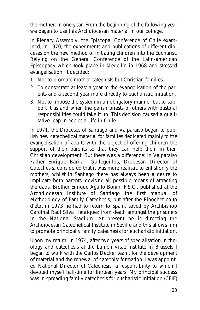the mother, in one year. From the beginning of the following year we began to use this Archdiocesan material in our college.

In Plenary Assembly, the Episcopal Conference of Chile examined, in 1970, the experiments and publications of different dioceses on the new method of initiating children into the Eucharist. Relying on the General Conference of the Latin-american Episcopacy which took place in Medellín in 1968 and stressed evangelisation, it decided:

- 1. Not to promote mother catechists but Christian families.
- 2. To consecrate at least a year to the evangelisation of the parents and a second year more directly to eucharistic initiation.
- 3. Not to impose the system in an obligatory manner but to support it as and when the parish priests or others with pastoral responsibilities could take it up. This decision caused a qualitative leap in ecclesial life in Chile.

In 1971, the Dioceses of Santiago and Valparaiso began to publish new catechetical material for families dedicated mainly to the evangelisation of adults with the object of offering children the support of their parents so that they can help them in their Christian development. But there was a difference: in Valparaiso Father Enrique Barilari Galleguillos, Diocesan Director of Catechesis, considered that it was more realistic to enlist only the mothers, whilst in Santiago there has always been a desire to implicate both parents, devising all possible means of attracting the dads. Brother Enrique Aguilo Bonin, F.S.C., published at the Archdiocesan Institute of Santiago the first manual of Methodology of Family Catechesis, but after the Pinochet coup d'état in 1973 he had to return to Spain, saved by Archbishop Cardinal Raúl Silva Henriquez from death amongst the prisoners in the National Stadium. At present he is directing the Archdiocesan Catechetical Institute in Seville and this allows him to promote principally family catechesis for eucharistic initiation.

Upon my return, in 1974, after two years of specialisation in theology and catechesis at the Lumen Vitae Institute in Brussels I began to work with the Carlos Decker team, for the development of material and the renewal of catechist formation. I was appointed National Director of Catechesis, a responsibility to which I devoted myself half-time for thirteen years. My principal success was in spreading family catechesis for eucharistic initiation (CFIE)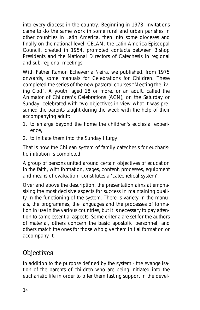into every diocese in the country. Beginning in 1978, invitations came to do the same work in some rural and urban parishes in other countries in Latin America, then into some dioceses and finally on the national level. CELAM, the Latin America Episcopal Council, created in 1954, promoted contacts between Bishop Presidents and the National Directors of Catechesis in regional and sub-regional meetings.

With Father Ramon Echeverria Neira, we published, from 1975 onwards, some manuals for *Celebrations for Children*. These completed the series of the new pastoral courses *"Meeting the living God"*. A youth, aged 18 or more, or an adult, called the Animator of Children's Celebrations (ACN), on the Saturday or Sunday, celebrated with two objectives in view what it was presumed the parents taught during the week with the help of their accompanying adult:

- 1. to enlarge beyond the home the children's ecclesial experience,
- 2. to initiate them into the Sunday liturgy.

That is how the Chilean system of family catechesis for eucharistic initiation is completed.

A group of persons united around certain objectives of education in the faith, with formation, stages, content, processes, equipment and means of evaluation, constitutes a 'catechetical system'.

Over and above the description, the presentation aims at emphasising the most decisive aspects for success in maintaining quality in the functioning of the system. There is variety in the manuals, the programmes, the languages and the processes of formation in use in the various countries, but it is necessary to pay attention to some essential aspects. Some criteria are set for the authors of material, others concern the basic apostolic personnel, and others match the ones for those who give them initial formation or accompany it.

# **Objectives**

In addition to the purpose defined by the system - the evangelisation of the parents of children who are being initiated into the eucharistic life in order to offer them lasting support in the devel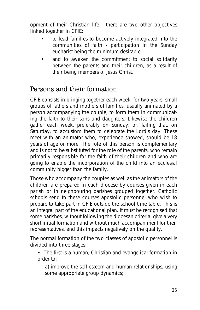opment of their Christian life - there are two other objectives linked together in CFIE:

- to lead families to become actively integrated into the communities of faith - participation in the Sunday eucharist being the minimum desirable
- and to awaken the commitment to social solidarity between the parents and their children, as a result of their being members of Jesus Christ.

# Persons and their formation

CFIE consists in bringing together each week, for two years, small groups of fathers and mothers of families, usually animated by a person accompanying the couple, to form them in communicating the faith to their sons and daughters. Likewise the children gather each week, preferably on Sunday, or, failing that, on Saturday, to accustom them to celebrate the Lord's day. These meet with an animator who, experience showed, should be 18 years of age or more. The role of this person is complementary and is not to be substituted for the role of the parents, who remain primarily responsible for the faith of their children and who are going to enable the incorporation of the child into an ecclesial community bigger than the family.

Those who accompany the couples as well as the animators of the children are prepared in each diocese by courses given in each parish or in neighbouring parishes grouped together. Catholic schools send to these courses apostolic personnel who wish to prepare to take part in CFIE outside the school time table. This is an integral part of the educational plan. It must be recognised that some parishes, without following the diocesan criteria, give a very short initial formation and without much accompaniment for their representatives, and this impacts negatively on the quality.

The normal formation of the two classes of apostolic personnel is divided into three stages:

- The first is a human, Christian and evangelical formation in order to:
	- a) improve the self-esteem and human relationships, using some appropriate group dynamics;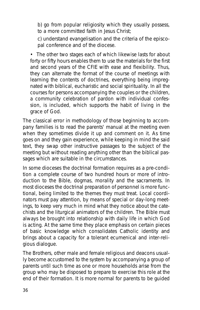b) go from popular religiosity which they usually possess, to a more committed faith in Jesus Christ;

c) understand evangelisation and the criteria of the episcopal conference and of the diocese.

• The other two stages each of which likewise lasts for about forty or fifty hours enables them to use the materials for the first and second years of the CFIE with ease and flexibility. Thus, they can alternate the format of the course of meetings with learning the contents of doctrines, everything being impregnated with biblical, eucharistic and social spirituality. In all the courses for persons accompanying the couples or the children, a community celebration of pardon with individual confession, is included, which supports the habit of living in the grace of God.

The classical error in methodology of those beginning to accompany families is to read the parents' manual at the meeting even when they sometimes divide it up and comment on it. As time goes on and they gain experience, while keeping in mind the said text, they swap other instructive passages to the subject of the meeting but without reading anything other than the biblical passages which are suitable in the circumstances.

In some dioceses the doctrinal formation requires as a pre-condition a complete course of two hundred hours or more of introduction to the Bible, dogmas, morality and the sacraments. In most dioceses the doctrinal preparation of personnel is more functional, being limited to the themes they must treat. Local coordinators must pay attention, by means of special or day-long meetings, to keep very much in mind what they notice about the catechists and the liturgical animators of the children. The Bible must always be brought into relationship with daily life in which God is acting. At the same time they place emphasis on certain pieces of basic knowledge which consolidates Catholic identity and brings about a capacity for a tolerant ecumenical and inter-religious dialogue.

The Brothers, other male and female religious and deacons usually become accustomed to the system by accompanying a group of parents until such time as one or more households arise from the group who may be disposed to prepare to exercise this role at the end of their formation. It is more normal for parents to be guided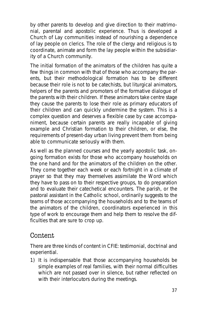by other parents to develop and give direction to their matrimonial, parental and apostolic experience. Thus is developed a Church of Lay communities instead of nourishing a dependence of lay people on clerics. The role of the clergy and religious is to coordinate, animate and form the lay people within the subsidiarity of a Church community.

The initial formation of the animators of the children has quite a few things in common with that of those who accompany the parents, but their methodological formation has to be different because their role is not to be catechists, but liturgical animators, helpers of the parents and promoters of the formative dialogue of the parents with their children. If these animators take centre stage they cause the parents to lose their role as primary educators of their children and can quickly undermine the system. This is a complex question and deserves a flexible case by case accompaniment, because certain parents are really incapable of giving example and Christian formation to their children, or else, the requirements of present-day urban living prevent them from being able to communicate seriously with them.

As well as the planned courses and the yearly apostolic task, ongoing formation exists for those who accompany households on the one hand and for the animators of the children on the other. They come together each week or each fortnight in a climate of prayer so that they may themselves assimilate the Word which they have to pass on to their respective groups, to do preparation and to evaluate their catechetical encounters. The parish, or the pastoral assistant in the Catholic school, ordinarily suggests to the teams of those accompanying the households and to the teams of the animators of the children, coordinators experienced in this type of work to encourage them and help them to resolve the difficulties that are sure to crop up.

## Content

There are three kinds of content in CFIE: testimonial, doctrinal and experiential.

1) It is indispensable that those accompanying households be simple examples of real families, with their normal difficulties which are not passed over in silence, but rather reflected on with their interlocutors during the meetings.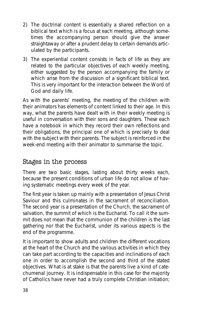- 2) The doctrinal content is essentially a shared reflection on a biblical text which is a focus at each meeting, although sometimes the accompanying person should give the answer straightaway or after a prudent delay to certain demands articulated by the participants.
- 3) The experiential content consists in facts of life as they are related to the particular objectives of each weekly meeting, either suggested by the person accompanying the family or which arise from the discussion of a significant biblical text. This is very important for the interaction between the Word of God and daily life.

As with the parents' meeting, the meeting of the children with their animators has elements of content linked to their age. In this way, what the parents have dealt with in their weekly meeting is useful in conversation with their sons and daughters. These each have a notebook in which they record their own reflections and their obligations, the principal one of which is precisely to deal with the subject with their parents. The subject is reinforced in the week-end meeting with their animator to summarise the topic.

#### Stages in the process

There are two basic stages, lasting about thirty weeks each, because the present conditions of urban life do not allow of having systematic meetings every week of the year.

The first year is taken up mainly with a presentation of Jesus Christ Saviour and this culminates in the sacrament of reconciliation. The second year is a presentation of the Church, the sacrament of salvation, the summit of which is the Eucharist. To call it the summit does not mean that the communion of the children is the last gathering nor that the Eucharist, under its various aspects is the end of the programme.

It is important to show adults and children the different vocations at the heart of the Church and the various activities in which they can take part according to the capacities and inclinations of each one in order to accomplish the second and third of the stated objectives. What is at stake is that the parents live a kind of catechumenal journey. It is indispensable in this case for the majority of Catholics have never had a truly complete Christian initiation;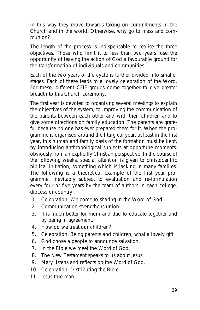in this way they move towards taking on commitments in the Church and in the world. Otherwise, why go to mass and communion?

The length of the process is indispensable to realise the three objectives. Those who limit it to less than two years lose the opportunity of leaving the action of God a favourable ground for the transformation of individuals and communities.

Each of the two years of the cycle is further divided into smaller stages. Each of these leads to a lovely celebration of the Word. For these, different CFIE groups come together to give greater breadth to this Church ceremony.

The first year is devoted to organising several meetings to explain the objectives of the system, to improving the communication of the parents between each other and with their children and to give some directions on family education. The parents are grateful because no one has ever prepared them for it. When the programme is organised around the liturgical year, at least in the first year, this human and family basis of the formation must be kept, by introducing anthropological subjects at opportune moments, obviously from an explicitly Christian perspective. In the course of the following weeks, special attention is given to christocentric biblical initiation, something which is lacking in many families. The following is a theoretical example of the first year programme, inevitably subject to evaluation and re-formulation every four or five years by the team of authors in each college, diocese or country:

- 1. *Celebration*: Welcome to sharing in the Word of God.
- 2. Communication strengthens union.
- 3. It is much better for mum and dad to educate together and by being in agreement.
- 4. How do we treat our children?
- 5. *Celebration*: Being parents and children, what a lovely gift!
- 6. *God chose a people to announce salvation*.
- 7. In the Bible we meet the Word of God.
- 8. The New Testament speaks to us about Jesus.
- 9. Mary listens and reflects on the Word of God.
- 10. *Celebration*: Distributing the Bible.
- 11. Jesus true man.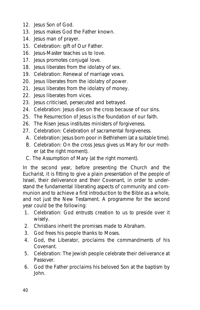- 12. Jesus Son of God.
- 13. Jesus makes God the Father known.
- 14. Jesus man of prayer.
- 15. *Celebration*: gift of Our Father.
- 16. Jesus-Master teaches us to love.
- 17. Jesus promotes conjugal love.
- 18. Jesus liberates from the idolatry of sex.
- 19. *Celebration*: Renewal of marriage vows.
- 20. Jesus liberates from the idolatry of power.
- 21. Jesus liberates from the idolatry of money.
- 22. Jesus liberates from vices.
- 23. Jesus criticised, persecuted and betrayed.
- 24. *Celebration*: Jesus dies on the cross because of our sins.
- 25. The Resurrection of Jesus is the foundation of our faith.
- 26. The Risen Jesus institutes ministers of forgiveness.
- 27. *Celebration*: Celebration of sacramental forgiveness.
	- A. *Celebration*: Jesus born poor in Bethlehem (at a suitable time).
	- B. *Celebration*: On the cross Jesus gives us Mary for our mother (at the right moment).
	- C. The Assumption of Mary (at the right moment).

In the second year, before presenting the Church and the Eucharist, it is fitting to give a plain presentation of the people of Israel, their deliverance and their Covenant, in order to understand the fundamental liberating aspects of community and communion and to achieve a first introduction to the Bible as a whole, and not just the New Testament. A programme for the second year could be the following:

- 1. *Celebration*: God entrusts creation to us to preside over it wisely.
- 2. Christians inherit the promises made to Abraham.
- 3. God frees his people thanks to Moses.
- 4. God, the Liberator, proclaims the commandments of his Covenant.
- 5. *Celebration*: The Jewish people celebrate their deliverance at Passover.
- 6. God the Father proclaims his beloved Son at the baptism by John.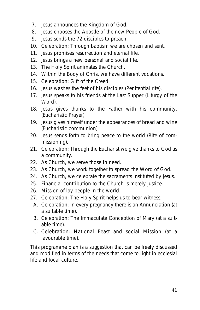- 7. Jesus announces the Kingdom of God.
- 8. Jesus chooses the Apostle of the new People of God.
- 9. Jesus sends the 72 disciples to preach.
- 10. *Celebration*: Through baptism we are chosen and sent.
- 11. Jesus promises resurrection and eternal life.
- 12. Jesus brings a new personal and social life.
- 13. The Holy Spirit animates the Church.
- 14. Within the Body of Christ we have different vocations.
- 15. *Celebration*: Gift of the Creed.
- 16. Jesus washes the feet of his disciples (Penitential rite).
- 17. Jesus speaks to his friends at the Last Supper (Liturgy of the Word).
- 18. Jesus gives thanks to the Father with his community. (Eucharistic Prayer).
- 19. Jesus gives himself under the appearances of bread and wine (Eucharistic communion).
- 20. Jesus sends forth to bring peace to the world (Rite of commissioning).
- 21. *Celebration*: Through the Eucharist we give thanks to God as a community.
- 22. As Church, we serve those in need.
- 23. As Church, we work together to spread the Word of God.
- 24. As Church, we celebrate the sacraments instituted by Jesus.
- 25. Financial contribution to the Church is merely justice.
- 26. Mission of lay people in the world.
- 27. *Celebration*: The Holy Spirit helps us to bear witness.
	- A. *Celebration*: In every pregnancy there is an Annunciation (at a suitable time).
	- B. *Celebration*: The Immaculate Conception of Mary (at a suitable time).
	- C. *Celebration*: National Feast and social Mission (at a favourable time).

This programme plan is a suggestion that can be freely discussed and modified in terms of the needs that come to light in ecclesial life and local culture.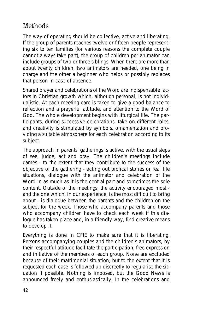# Methods

The way of operating should be collective, active and liberating. If the group of parents reaches twelve or fifteen people representing six to ten families (for various reasons the complete couple cannot always take part), the group of children per animator can include groups of two or three siblings. When there are more than about twenty children, two animators are needed, one being in charge and the other a beginner who helps or possibly replaces that person in case of absence.

Shared prayer and celebrations of the Word are indispensable factors in Christian growth which, although personal, is not individualistic. At each meeting care is taken to give a good balance to reflection and a prayerful attitude, and attention to the Word of God. The whole development begins with liturgical life. The participants, during successive celebrations, take on different roles, and creativity is stimulated by symbols, ornamentation and providing a suitable atmosphere for each celebration according to its subject.

The approach in parents' gatherings is active, with the usual steps of *see, judge, act and pray*. The children's meetings include games - to the extent that they contribute to the success of the objective of the gathering - acting out biblical stories or real life situations, dialogue with the animator and celebration of the Word in as much as it is the central part and sometimes the sole content. Outside of the meetings, the activity encouraged most and the one which, in our experience, is the most difficult to bring about - is dialogue between the parents and the children on the subject for the week. Those who accompany parents and those who accompany children have to check each week if this dialogue has taken place and, in a friendly way, find creative means to develop it.

Everything is done in CFIE to make sure that it is liberating. Persons accompanying couples and the children's animators, by their respectful attitude facilitate the participation, free expression and initiative of the members of each group. None are excluded because of their matrimonial situation; but to the extent that it is requested each case is followed up discreetly to regularise the situation if possible. Nothing is imposed, but the Good News is announced freely and enthusiastically. In the celebrations and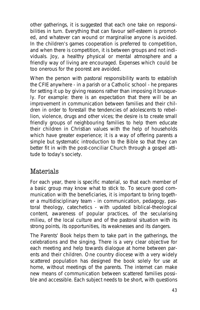other gatherings, it is suggested that each one take on responsibilities in turn. Everything that can favour self-esteem is promoted, and whatever can wound or marginalise anyone is avoided. In the children's games cooperation is preferred to competition, and when there is competition, it is between groups and not individuals. Joy, a healthy physical or mental atmosphere and a friendly way of living are encouraged. Expenses which could be too onerous for the poorest are avoided.

When the person with pastoral responsibility wants to establish the CFIE anywhere - in a parish or a Catholic school - he prepares for setting it up by giving reasons rather than imposing it brusquely. For example: there is an expectation that there will be an improvement in communication between families and their children in order to forestall the tendencies of adolescents to rebellion, violence, drugs and other vices; the desire is to create small friendly groups of neighbouring families to help them educate their children in Christian values with the help of households which have greater experience; it is a way of offering parents a simple but systematic introduction to the Bible so that they can better fit in with the post-conciliar Church through a gospel attitude to today's society.

# Materials

For each year, there is specific material, so that each member of a basic group may know what to stick to. To secure good communication with the beneficiaries, it is important to bring together a multidisciplinary team - in communication, pedagogy, pastoral theology, catechetics - with updated biblical-theological content, awareness of popular practices, of the secularising milieu, of the local culture and of the pastoral situation with its strong points, its opportunities, its weaknesses and its dangers.

The *Parents' Book* helps them to take part in the gatherings, the celebrations and the singing. There is a very clear objective for each meeting and help towards dialogue at home between parents and their children. One country diocese with a very widely scattered population has designed the book solely for use at home, without meetings of the parents. The internet can make new means of communication between scattered families possible and accessible. Each subject needs to be short, with questions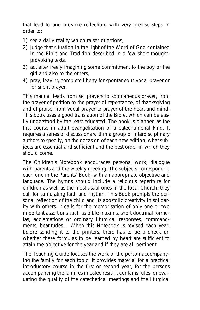that lead to and provoke reflection, with very precise steps in order to:

- 1) *see* a daily reality which raises questions,
- 2) *judge* that situation in the light of the Word of God contained in the Bible and Tradition described in a few short thoughtprovoking texts,
- 3) *act* after freely imagining some commitment to the boy or the girl and also to the others,
- 4) *pray*, leaving complete liberty for spontaneous vocal prayer or for silent prayer.

This manual leads from set prayers to spontaneous prayer, from the prayer of petition to the prayer of repentance, of thanksgiving and of praise; from vocal prayer to prayer of the heart and mind. This book uses a good translation of the Bible, which can be easily understood by the least educated. The book is planned as the first course in adult evangelisation of a catechumenal kind. It requires a series of discussions within a group of interdisciplinary authors to specify, on the occasion of each new edition, what subjects are essential and sufficient and the best order in which they should come.

The *Children's Notebook* encourages personal work, dialogue with parents and the weekly meeting. The subjects correspond to each one in the *Parents' Book*, with an appropriate objective and language. The hymns should include a religious repertoire for children as well as the most usual ones in the local Church; they call for stimulating faith and rhythm. This *Book* prompts the personal reflection of the child and its apostolic creativity in solidarity with others. It calls for the memorisation of only one or two important assertions such as bible maxims, short doctrinal formulas, acclamations or ordinary liturgical responses, commandments, beatitudes… When this *Notebook* is revised each year, before sending it to the printers, there has to be a check on whether these formulas to be learned by heart are sufficient to attain the objective for the year and if they are all pertinent.

The *Teaching Guide* focuses the work of the person accompanying the family for each topic, It provides material for a practical introductory course in the first or second year, for the persons accompanying the families in catechesis. It contains rules for evaluating the quality of the catechetical meetings and the liturgical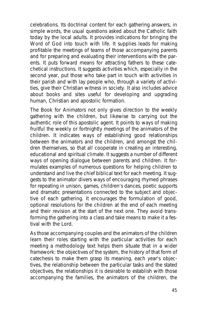celebrations. Its doctrinal content for each gathering answers, in simple words, the usual questions asked about the Catholic faith today by the local adults. It provides indications for bringing the Word of God into touch with life. It supplies leads for making profitable the meetings of teams of those accompanying parents and for preparing and evaluating their interventions with the parents. It puts forward means for attracting fathers to these catechetical instructions. It suggests activities which, especially in the second year, put those who take part in touch with activities in their parish and with lay people who, through a variety of activities, give their Christian witness in society. It also includes advice about books and sites useful for developing and upgrading human, Christian and apostolic formation.

The *Book for Animators* not only gives direction to the weekly gathering with the children, but likewise to carrying out the authentic role of this apostolic agent. It points to ways of making fruitful the weekly or fortnightly meetings of the animators of the children. It indicates ways of establishing good relationships between the animators and the children, and amongst the children themselves, so that all cooperate in creating an interesting, educational and spiritual climate. It suggests a number of different ways of opening dialogue between parents and children. It formulates examples of numerous questions for helping children to understand and live the chief biblical text for each meeting. It suggests to the animator divers ways of encouraging rhymed phrases for repeating in unison, games, children's dances, poetic supports and dramatic presentations connected to the subject and objective of each gathering. It encourages the formulation of good, optional resolutions for the children at the end of each meeting and their revision at the start of the next one. They avoid transforming the gathering into a class and take means to make it a festival with the Lord.

As those accompanying couples and the animators of the children learn their roles starting with the particular activities for each meeting a methodology text helps them situate that in a wider framework: the objectives of the system, the history of that form of catechesis to make them grasp its meaning, each year's objectives, the relationship between the particular tasks and the stated objectives, the relationships it is desirable to establish with those accompanying the families, the animators of the children, the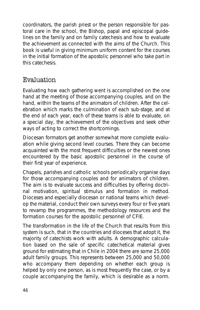coordinators, the parish priest or the person responsible for pastoral care in the school, the Bishop, papal and episcopal guidelines on the family and on family catechesis and how to evaluate the achievement as connected with the aims of the Church. This book is useful in giving minimum uniform content for the courses in the initial formation of the apostolic personnel who take part in this catechesis.

## Evaluation

Evaluating how each gathering went is accomplished on the one hand at the meeting of those accompanying couples, and on the hand, within the teams of the animators of children. After the celebration which marks the culmination of each sub-stage, and at the end of each year, each of these teams is able to evaluate, on a special day, the achievement of the objectives and seek other ways of acting to correct the shortcomings.

Diocesan formators get another somewhat more complete evaluation while giving second level courses. There they can become acquainted with the most frequent difficulties or the newest ones encountered by the basic apostolic personnel in the course of their first year of experience.

Chapels, parishes and catholic schools periodically organise days for those accompanying couples and for animators of children. The aim is to evaluate success and difficulties by offering doctrinal motivation, spiritual stimulus and formation in method. Dioceses and especially diocesan or national teams which develop the material, conduct their own surveys every four or five years to revamp the programmes, the methodology resources and the formation courses for the apostolic personnel of CFIE.

The transformation in the life of the Church that results from this system is such, that in the countries and dioceses that adopt it, the majority of catechists work with adults. A demographic calculation based on the sale of specific catechetical material gives ground for estimating that in Chile in 2004 there are some 25,000 adult family groups. This represents between 25,000 and 50,000 who accompany them depending on whether each group is helped by only one person, as is most frequently the case, or by a couple accompanying the family, which is desirable as a norm.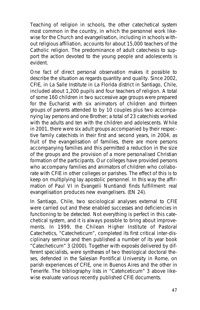Teaching of religion in schools, the other catechetical system most common in the country, in which the personnel work likewise for the Church and evangelisation, including in schools without religious affiliation, accounts for about 15,000 teachers of the Catholic religion. The predominance of adult catechesis to support the action devoted to the young people and adolescents is evident.

One fact of direct personal observation makes it possible to describe the situation as regards quantity and quality. Since 2002, CFIE, in La Salle Institute in La Florida district in Santiago, Chile, included about 1,200 pupils and four teachers of religion. A total of some 160 children in two successive age groups were prepared for the Eucharist with six animators of children and thirteen groups of parents attended to by 10 couples plus two accompanying lay persons and one Brother; a total of 23 catechists worked with the adults and ten with the children and adolescents. While in 2001, there were six adult groups accompanied by their respective family catechists in their first and second years, in 2004, as fruit of the evangelisation of families, there are more persons accompanying families and this permitted a reduction in the size of the groups and the provision of a more personalised Christian formation of the participants. Our colleges have provided persons who accompany families and animators of children who collaborate with CFIE in other colleges or parishes. The effect of this is to keep on multiplying lay apostolic personnel. In this way the affirmation of Paul VI in *Evangelii Nuntiandi* finds fulfillment: real evangelisation produces new evangelisers. (EN 24).

In Santiago, Chile, two sociological analyses external to CFIE were carried out and these enabled successes and deficiencies in functioning to be detected. Not everything is perfect in this catechetical system, and it is always possible to bring about improvements. In 1999, the Chilean Higher Institute of Pastoral Catechetics, "Catecheticum", completed its first critical inter-disciplinary seminar and then published a number of its year book "Catecheticum" 3 (2000). Together with exposés delivered by different specialists, were syntheses of two theological doctoral theses, defended in the Salesian Pontifical University in Rome, on parish experiences of CFIE, one in Buenos Aires and the other in Tenerife. The bibliography lists in "Catehceticum" 3 above likewise evaluate various recently published CFIE documents.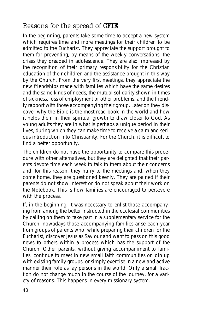# Reasons for the spread of CFIE

In the beginning, parents take some time to accept a new system which requires time and more meetings for their children to be admitted to the Eucharist. They appreciate the support brought to them for preventing, by means of the weekly conversations, the crises they dreaded in adolescence. They are also impressed by the recognition of their primary responsibility for the Christian education of their children and the assistance brought in this way by the Church. From the very first meetings, they appreciate the new friendships made with families which have the same desires and the same kinds of needs, the mutual solidarity shown in times of sickness, loss of employment or other problems. and the friendly rapport with those accompanying their group. Later on they discover why the Bible is the most read book in the world and how it helps them in their spiritual growth to draw closer to God. As young adults they are in what is perhaps a unique period in their lives, during which they can make time to receive a calm and serious introduction into Christianity. For the Church, it is difficult to find a better opportunity.

The children do not have the opportunity to compare this procedure with other alternatives, but they are delighted that their parents devote time each week to talk to them about their concerns and, for this reason, they hurry to the meetings and, when they come home, they are questioned keenly. They are pained if their parents do not show interest or do not speak about their work on the *Notebook*. This is how families are encouraged to persevere with the process.

If, in the beginning, it was necessary to enlist those accompanying from among the better instructed in the ecclesial communities by calling on them to take part in a supplementary service for the Church, nowadays those accompanying families arise each year from groups of parents who, while preparing their children for the Eucharist, discover Jesus as Saviour and want to pass on this good news to others within a process which has the support of the Church. Other parents, without giving accompaniment to families, continue to meet in new small faith communities or join up with existing family groups, or simply exercise in a new and active manner their role as lay persons in the world. Only a small fraction do not change much in the course of the journey, for a variety of reasons. This happens in every missionary system.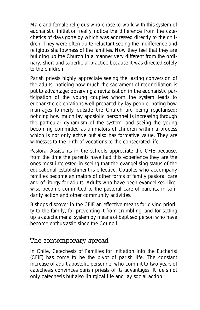Male and female religious who chose to work with this system of eucharistic initiation really notice the difference from the catechetics of days gone by which was addressed directly to the children. They were often quite reluctant seeing the indifference and religious shallowness of the families. Now they feel that they are building up the Church in a manner very different from the ordinary, short and superficial practice because it was directed solely to the children.

Parish priests highly appreciate seeing the lasting conversion of the adults; noticing how much the sacrament of reconciliation is put to advantage; observing a revitalisation in the eucharistic participation of the young couples whom the system leads to eucharistic celebrations well prepared by lay people; noting how marriages formerly outside the Church are being regularised; noticing how much lay apostolic personnel is increasing through the particular dynamism of the system, and seeing the young becoming committed as animators of children within a process which is not only active but also has formative value. They are witnesses to the birth of vocations to the consecrated life.

Pastoral Assistants in the schools appreciate the CFIE because, from the time the parents have had this experience they are the ones most interested in seeing that the evangelising status of the educational establishment is effective. Couples who accompany families become animators of other forms of family pastoral care and of liturgy for adults. Adults who have been evangelised likewise become committed to the pastoral care of parents, in solidarity action and other community activities.

Bishops discover in the CFIE an effective means for giving priority to the family, for preventing it from crumbling, and for setting up a catechumenal system by means of baptised person who have become enthusiastic since the Council.

## The contemporary spread

In Chile, Catechesis of Families for Initiation into the Eucharist (CFIE) has come to be the pivot of parish life. The constant increase of adult apostolic personnel who commit to two years of catechesis convinces parish priests of its advantages. It fuels not only catechesis but also liturgical life and lay social action.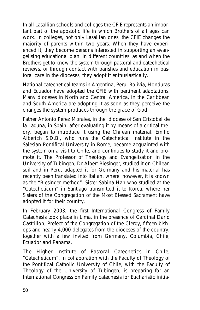In all Lasallian schools and colleges the CFIE represents an important part of the apostolic life in which Brothers of all ages can work. In colleges, not only Lasallian ones, the CFIE changes the majority of parents within two years. When they have experienced it, they become persons interested in supporting an evangelising educational plan. In different countries, as and when the Brothers get to know the system through pastoral and catechetical reviews, or through contact with parishes and education in pastoral care in the dioceses, they adopt it enthusiastically.

National catechetical teams in Argentina, Peru, Bolivia, Honduras and Ecuador have adopted the CFIE with pertinent adaptations. Many dioceses in North and Central America, in the Caribbean and South America are adopting it as soon as they perceive the changes the system produces through the grace of God.

Father Antonio Pérez Morales, in the diocese of San Cristobal de la Laguna, in Spain, after evaluating it by means of a critical theory, began to introduce it using the Chilean material. Emilio Alberich S.D.B., who runs the Catechetical Institute in the Salesian Pontifical University in Rome, became acquainted with the system on a visit to Chile, and continues to study it and promote it. The Professor of Theology and Evangelisation in the University of Tubingen, Dr Albert Biesinger, studied it on Chilean soil and in Peru, adapted it for Germany and his material has recently been translated into Italian, where, however, it is known as the "Biesinger method". Sister Sabina Han who studied at the "Catecheticum" in Santiago transmitted it to Korea, where her Sisters of the Congregation of the Most Blessed Sacrament have adopted it for their country.

In February 2003, the first International Congress of Family Catechesis took place in Lima, in the presence of Cardinal Dario Castrillón, Prefect of the Congregation of the Clergy, fifteen bishops and nearly 4,000 delegates from the dioceses of the country, together with a few invited from Germany, Columbia, Chile, Ecuador and Panama.

The Higher Institute of Pastoral Catechetics in Chile, "Catecheticum", in collaboration with the Faculty of Theology of the Pontifical Catholic University of Chile, with the Faculty of Theology of the University of Tubingen, is preparing for an International Congress on Family catechesis for Eucharistic initia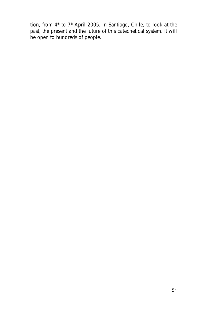tion, from  $4<sup>th</sup>$  to  $7<sup>th</sup>$  April 2005, in Santiago, Chile, to look at the past, the present and the future of this catechetical system. It will be open to hundreds of people.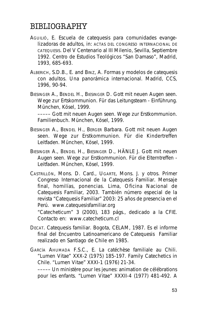# BIBLIOGRAPHY

- AGUILIÓ, E. *Escuela de catequesis para comunidades evangelizadoras de adultos, in: ACTAS DEL CONGRESO INTERNACIONAL DE CATEQUESIS. Del V Centenario al III Milenio*, Sevilla, Septiembre 1992. Centro de Estudios Teológicos "San Damaso", Madrid, 1993, 685-693.
- ALBERICH, S.D.B., E. and BINZ, A. *Formas y modelos de catequesis con adultos. Una panorámica internacional*. Madrid, CCS, 1996, 90-94.
- BIESINGER A., BENDEL H., BIESINGER D. *Gott mit neuen Augen seen. Wege zur Ertskommunion. Für das Leitungsteam - Einführung*. München, Kösel, 1999.

–––––*Gott mit neuen Augen seen. Wege zur Erstkommunion. Familienbuch*. München, Kösel, 1999.

- BIESINGER A., BENDEL H., BERGER Barbara. *Gott mit neuen Augen seen. Wege zur Erstkommunion. Für die Kindertreffen Leitfaden*. München, Kösel, 1999.
- BIESINGER A., BENDEL H., BIESINGER D., HÄNLE J. *Gott mit neuen Augen seen. Wege zur Erstkommunion. Für die Elterntreffen - Leitfaden*. München, Kösel, 1999.
- CASTRILLÓN, Mons. D. Card., UGARTE, Mons. J. y otros. *Primer Congreso Internacional de la Catequesis Familiar. Mensaje final, homilías, ponencias*. Lima, Oficina Nacional de Catequesis Familiar, 2003. También número especial de la revista *"Catequesis Familiar"* 2003: 25 años de presencia en el Perú. www.catequesisfamiliar.org

"Catecheticum" 3 (2000), 183 págs., dedicado a la CFIE. Contacto en: www.catecheticum.cl

- DECAT. *Catequesis familiar*. Bogota, CELAM, 1987. Es el informe final del Encuentro Latinoamericano de Catequesis Familiar realizado en Santiago de Chile en 1985.
- GARCÍA AHUMADA F.S.C., E. *La catéchèse familiale au Chili*. "Lumen Vitae" XXX-2 (1975) 185-197. *Family Catechetics in Chile*. "Lumen Vitae" XXXI-1 (1976) 21-34.

–––––*Un ministère pour les jeunes: animation de célébrations pour les enfants*. "Lumen Vitae" XXXII-4 (1977) 481-492. A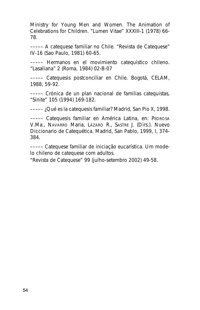Ministry for Young Men and Women. The Animation of Celebrations for Children. "Lumen Vitae" XXXIII-1 (1978) 66- 78.

–––––*A catequese familiar no Chile*. "Revista de Catequese" IV-16 (Sao Paulo, 1981) 60-65.

––––– *Hermanos en el movimiento catequístico chileno*. "Lasaliana" 2 (Roma, 1984) 02-B-07

–––––*Catequesis postconciliar en Chile*. Bogotá, CELAM, 1988, 59-92.

–––––*Crónica de un plan nacional de familias catequistas*, "Sinite" 105 (1994) 169-182.

–––––*¿Qué es la catequesis familiar?* Madrid, San Pio X, 1998.

–––––*Catequesis familiar en América Latina*, en: PEDROSA V.Ma., NAVARRO Maria, LÁZARO R., SASTRE J. (Dirs.). *Nuevo Diccionario de Catequética*. Madrid, San Pablo, 1999, I, 374- 384.

–––––*Catequese familiar de iniciação eucarística. Um modelo chileno de catequese com adultos*.

"Revista de Catequese" 99 (julho-setembro 2002) 49-58.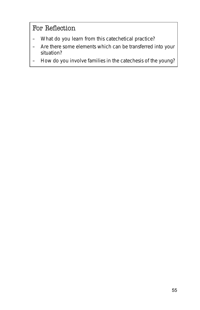# For Reflection

- What do you learn from this catechetical practice?
- Are there some elements which can be transferred into your situation?
- How do you involve families in the catechesis of the young?